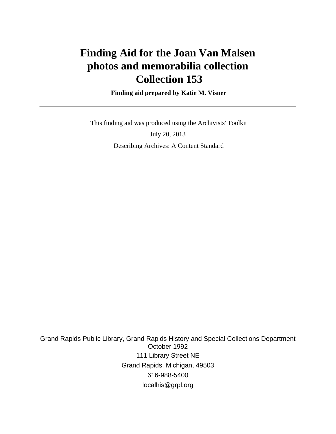# **Finding Aid for the Joan Van Malsen photos and memorabilia collection Collection 153**

 **Finding aid prepared by Katie M. Visner**

 This finding aid was produced using the Archivists' Toolkit July 20, 2013 Describing Archives: A Content Standard

Grand Rapids Public Library, Grand Rapids History and Special Collections Department October 1992 111 Library Street NE Grand Rapids, Michigan, 49503 616-988-5400 localhis@grpl.org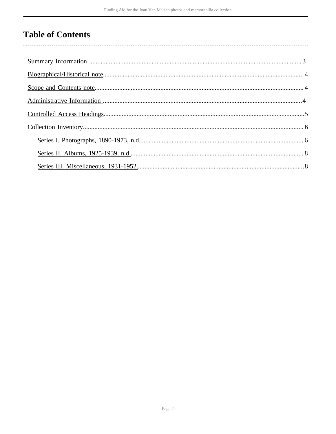## **Table of Contents**

 $\overline{\phantom{a}}$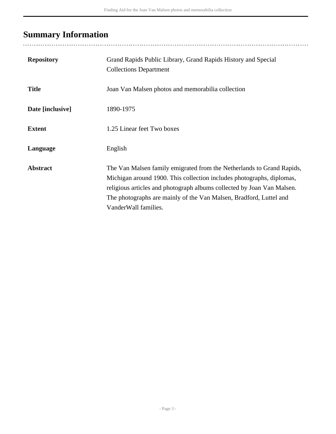## <span id="page-2-0"></span>**Summary Information**

| <b>Repository</b> | Grand Rapids Public Library, Grand Rapids History and Special<br><b>Collections Department</b>                                                                                                                                                                                                                         |
|-------------------|------------------------------------------------------------------------------------------------------------------------------------------------------------------------------------------------------------------------------------------------------------------------------------------------------------------------|
| <b>Title</b>      | Joan Van Malsen photos and memorabilia collection                                                                                                                                                                                                                                                                      |
| Date [inclusive]  | 1890-1975                                                                                                                                                                                                                                                                                                              |
| <b>Extent</b>     | 1.25 Linear feet Two boxes                                                                                                                                                                                                                                                                                             |
| Language          | English                                                                                                                                                                                                                                                                                                                |
| <b>Abstract</b>   | The Van Malsen family emigrated from the Netherlands to Grand Rapids,<br>Michigan around 1900. This collection includes photographs, diplomas,<br>religious articles and photograph albums collected by Joan Van Malsen.<br>The photographs are mainly of the Van Malsen, Bradford, Luttel and<br>VanderWall families. |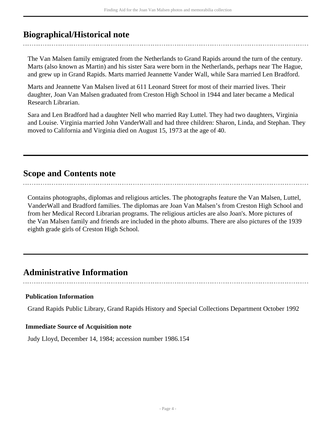### <span id="page-3-0"></span>**Biographical/Historical note**

The Van Malsen family emigrated from the Netherlands to Grand Rapids around the turn of the century. Marts (also known as Martin) and his sister Sara were born in the Netherlands, perhaps near The Hague, and grew up in Grand Rapids. Marts married Jeannette Vander Wall, while Sara married Len Bradford.

Marts and Jeannette Van Malsen lived at 611 Leonard Street for most of their married lives. Their daughter, Joan Van Malsen graduated from Creston High School in 1944 and later became a Medical Research Librarian.

Sara and Len Bradford had a daughter Nell who married Ray Luttel. They had two daughters, Virginia and Louise. Virginia married John VanderWall and had three children: Sharon, Linda, and Stephan. They moved to California and Virginia died on August 15, 1973 at the age of 40.

### <span id="page-3-1"></span>**Scope and Contents note**

Contains photographs, diplomas and religious articles. The photographs feature the Van Malsen, Luttel, VanderWall and Bradford families. The diplomas are Joan Van Malsen's from Creston High School and from her Medical Record Librarian programs. The religious articles are also Joan's. More pictures of the Van Malsen family and friends are included in the photo albums. There are also pictures of the 1939 eighth grade girls of Creston High School.

### <span id="page-3-2"></span>**Administrative Information**

**Publication Information**

Grand Rapids Public Library, Grand Rapids History and Special Collections Department October 1992

#### **Immediate Source of Acquisition note**

Judy Lloyd, December 14, 1984; accession number 1986.154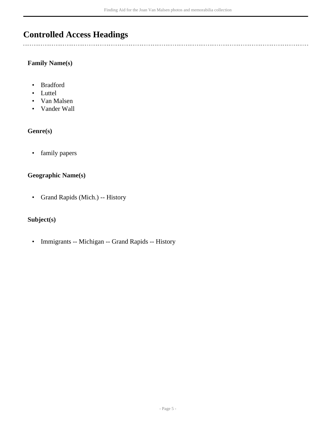### <span id="page-4-0"></span>**Controlled Access Headings**

#### **Family Name(s)**

- Bradford
- Luttel

 $\overline{a}$ 

- Van Malsen
- Vander Wall

#### **Genre(s)**

• family papers

#### **Geographic Name(s)**

• Grand Rapids (Mich.) -- History

#### **Subject(s)**

• Immigrants -- Michigan -- Grand Rapids -- History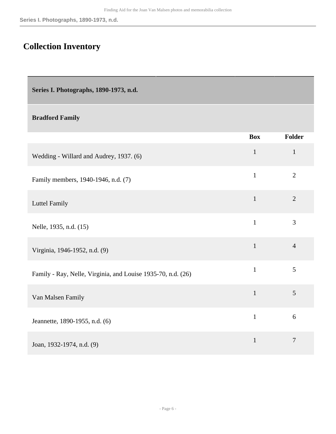## <span id="page-5-0"></span>**Collection Inventory**

<span id="page-5-1"></span>**Series I. Photographs, 1890-1973, n.d.** 

#### **Bradford Family**

|                                                              | <b>Box</b>   | Folder         |
|--------------------------------------------------------------|--------------|----------------|
| Wedding - Willard and Audrey, 1937. (6)                      | $\mathbf{1}$ | $\mathbf{1}$   |
| Family members, 1940-1946, n.d. (7)                          | $\mathbf{1}$ | $\overline{2}$ |
| Luttel Family                                                | $\mathbf{1}$ | $\overline{2}$ |
| Nelle, 1935, n.d. (15)                                       | $\mathbf{1}$ | 3              |
| Virginia, 1946-1952, n.d. (9)                                | $\mathbf{1}$ | $\overline{4}$ |
| Family - Ray, Nelle, Virginia, and Louise 1935-70, n.d. (26) | $\mathbf{1}$ | 5              |
| Van Malsen Family                                            | $\mathbf{1}$ | 5              |
| Jeannette, 1890-1955, n.d. (6)                               | $\mathbf{1}$ | 6              |
| Joan, 1932-1974, n.d. (9)                                    | $\mathbf{1}$ | $\tau$         |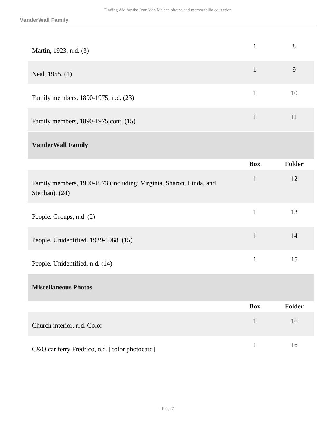| Martin, 1923, n.d. (3)                                                               | $\mathbf{1}$ | 8             |
|--------------------------------------------------------------------------------------|--------------|---------------|
| Neal, 1955. (1)                                                                      | $\mathbf{1}$ | 9             |
| Family members, 1890-1975, n.d. (23)                                                 | $\mathbf{1}$ | 10            |
| Family members, 1890-1975 cont. (15)                                                 | $\mathbf{1}$ | 11            |
| <b>VanderWall Family</b>                                                             |              |               |
|                                                                                      | <b>Box</b>   | <b>Folder</b> |
| Family members, 1900-1973 (including: Virginia, Sharon, Linda, and<br>Stephan). (24) | $\mathbf{1}$ | 12            |
| People. Groups, n.d. (2)                                                             | $\mathbf{1}$ | 13            |
| People. Unidentified. 1939-1968. (15)                                                | $\mathbf{1}$ | 14            |
| People. Unidentified, n.d. (14)                                                      | $\mathbf{1}$ | 15            |
| <b>Miscellaneous Photos</b>                                                          |              |               |
|                                                                                      | <b>Box</b>   | Folder        |
| Church interior, n.d. Color                                                          | $\mathbf{1}$ | 16            |
| C&O car ferry Fredrico, n.d. [color photocard]                                       | $\mathbf{1}$ | 16            |